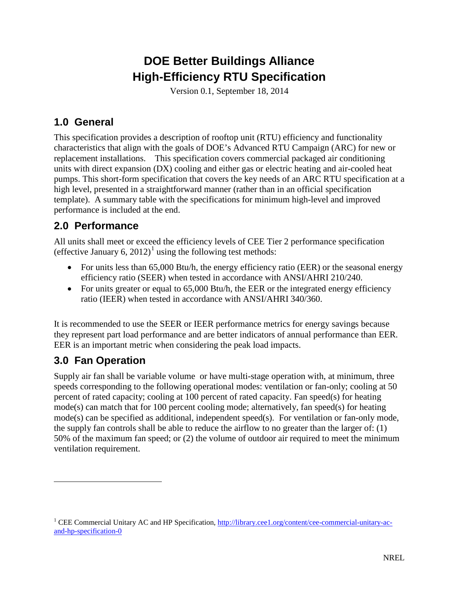# **DOE Better Buildings Alliance High-Efficiency RTU Specification**

Version 0.1, September 18, 2014

#### **1.0 General**

This specification provides a description of rooftop unit (RTU) efficiency and functionality characteristics that align with the goals of DOE's Advanced RTU Campaign (ARC) for new or replacement installations. This specification covers commercial packaged air conditioning units with direct expansion (DX) cooling and either gas or electric heating and air-cooled heat pumps. This short-form specification that covers the key needs of an ARC RTU specification at a high level, presented in a straightforward manner (rather than in an official specification template). A summary table with the specifications for minimum high-level and improved performance is included at the end.

# **2.0 Performance**

All units shall meet or exceed the efficiency levels of CEE Tier 2 performance specification (effective January 6, 20[1](#page-0-0)2)<sup>1</sup> using the following test methods:

- For units less than 65,000 Btu/h, the energy efficiency ratio (EER) or the seasonal energy efficiency ratio (SEER) when tested in accordance with ANSI/AHRI 210/240.
- For units greater or equal to 65,000 Btu/h, the EER or the integrated energy efficiency ratio (IEER) when tested in accordance with ANSI/AHRI 340/360.

It is recommended to use the SEER or IEER performance metrics for energy savings because they represent part load performance and are better indicators of annual performance than EER. EER is an important metric when considering the peak load impacts.

# **3.0 Fan Operation**

 $\overline{a}$ 

Supply air fan shall be variable volume or have multi-stage operation with, at minimum, three speeds corresponding to the following operational modes: ventilation or fan-only; cooling at 50 percent of rated capacity; cooling at 100 percent of rated capacity. Fan speed(s) for heating mode(s) can match that for 100 percent cooling mode; alternatively, fan speed(s) for heating mode(s) can be specified as additional, independent speed(s). For ventilation or fan-only mode, the supply fan controls shall be able to reduce the airflow to no greater than the larger of: (1) 50% of the maximum fan speed; or (2) the volume of outdoor air required to meet the minimum ventilation requirement.

<span id="page-0-0"></span><sup>&</sup>lt;sup>1</sup> CEE Commercial Unitary AC and HP Specification,  $\frac{http://library.cee1.org/content/cee-commercial-unitary-ac$ [and-hp-specification-0](http://library.cee1.org/content/cee-commercial-unitary-ac-and-hp-specification-0)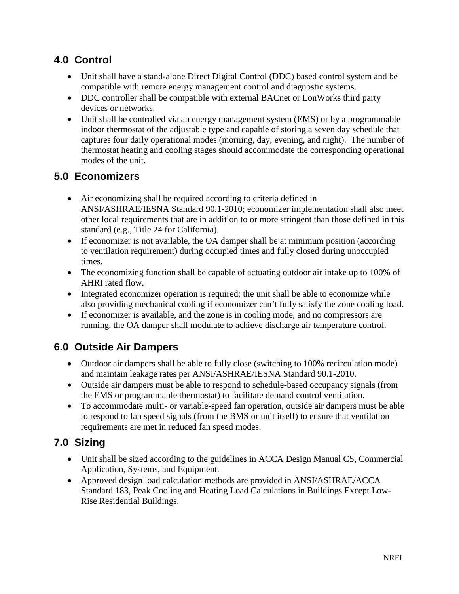#### **4.0 Control**

- Unit shall have a stand-alone Direct Digital Control (DDC) based control system and be compatible with remote energy management control and diagnostic systems.
- DDC controller shall be compatible with external BACnet or LonWorks third party devices or networks.
- Unit shall be controlled via an energy management system (EMS) or by a programmable indoor thermostat of the adjustable type and capable of storing a seven day schedule that captures four daily operational modes (morning, day, evening, and night). The number of thermostat heating and cooling stages should accommodate the corresponding operational modes of the unit.

#### **5.0 Economizers**

- Air economizing shall be required according to criteria defined in ANSI/ASHRAE/IESNA Standard 90.1-2010; economizer implementation shall also meet other local requirements that are in addition to or more stringent than those defined in this standard (e.g., Title 24 for California).
- If economizer is not available, the OA damper shall be at minimum position (according to ventilation requirement) during occupied times and fully closed during unoccupied times.
- The economizing function shall be capable of actuating outdoor air intake up to 100% of AHRI rated flow.
- Integrated economizer operation is required; the unit shall be able to economize while also providing mechanical cooling if economizer can't fully satisfy the zone cooling load.
- If economizer is available, and the zone is in cooling mode, and no compressors are running, the OA damper shall modulate to achieve discharge air temperature control.

# **6.0 Outside Air Dampers**

- Outdoor air dampers shall be able to fully close (switching to 100% recirculation mode) and maintain leakage rates per ANSI/ASHRAE/IESNA Standard 90.1-2010.
- Outside air dampers must be able to respond to schedule-based occupancy signals (from the EMS or programmable thermostat) to facilitate demand control ventilation.
- To accommodate multi- or variable-speed fan operation, outside air dampers must be able to respond to fan speed signals (from the BMS or unit itself) to ensure that ventilation requirements are met in reduced fan speed modes.

# **7.0 Sizing**

- Unit shall be sized according to the guidelines in ACCA Design Manual CS, Commercial Application, Systems, and Equipment.
- Approved design load calculation methods are provided in ANSI/ASHRAE/ACCA Standard 183, Peak Cooling and Heating Load Calculations in Buildings Except Low-Rise Residential Buildings.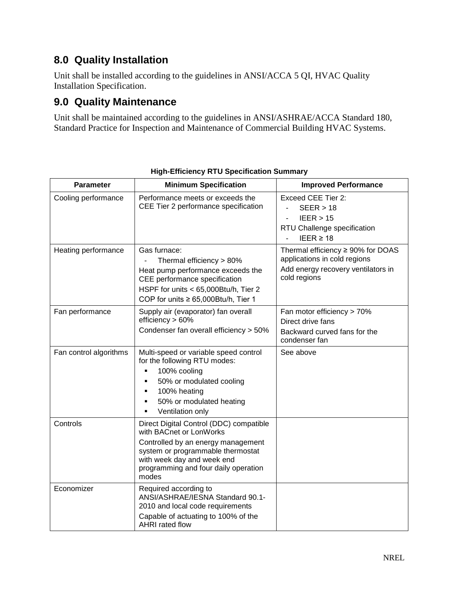### **8.0 Quality Installation**

Unit shall be installed according to the guidelines in ANSI/ACCA 5 QI, HVAC Quality Installation Specification.

#### **9.0 Quality Maintenance**

Unit shall be maintained according to the guidelines in ANSI/ASHRAE/ACCA Standard 180, Standard Practice for Inspection and Maintenance of Commercial Building HVAC Systems.

| <b>Parameter</b>       | <b>Minimum Specification</b>                                                                                                                                                                                                 | <b>Improved Performance</b>                                                                                                  |
|------------------------|------------------------------------------------------------------------------------------------------------------------------------------------------------------------------------------------------------------------------|------------------------------------------------------------------------------------------------------------------------------|
| Cooling performance    | Performance meets or exceeds the<br>CEE Tier 2 performance specification                                                                                                                                                     | Exceed CEE Tier 2:<br>SEER > 18<br>IEER > 15<br>÷,<br>RTU Challenge specification<br>IEER $\geq 18$                          |
| Heating performance    | Gas furnace:<br>Thermal efficiency > 80%<br>Heat pump performance exceeds the<br>CEE performance specification<br>HSPF for units < 65,000Btu/h, Tier 2<br>COP for units $\geq 65,000B$ tu/h, Tier 1                          | Thermal efficiency $\geq$ 90% for DOAS<br>applications in cold regions<br>Add energy recovery ventilators in<br>cold regions |
| Fan performance        | Supply air (evaporator) fan overall<br>efficiency > 60%<br>Condenser fan overall efficiency > 50%                                                                                                                            | Fan motor efficiency > 70%<br>Direct drive fans<br>Backward curved fans for the<br>condenser fan                             |
| Fan control algorithms | Multi-speed or variable speed control<br>for the following RTU modes:<br>100% cooling<br>50% or modulated cooling<br>100% heating<br>50% or modulated heating<br>Ventilation only                                            | See above                                                                                                                    |
| Controls               | Direct Digital Control (DDC) compatible<br>with BACnet or LonWorks<br>Controlled by an energy management<br>system or programmable thermostat<br>with week day and week end<br>programming and four daily operation<br>modes |                                                                                                                              |
| Economizer             | Required according to<br>ANSI/ASHRAE/IESNA Standard 90.1-<br>2010 and local code requirements<br>Capable of actuating to 100% of the<br>AHRI rated flow                                                                      |                                                                                                                              |

#### **High-Efficiency RTU Specification Summary**